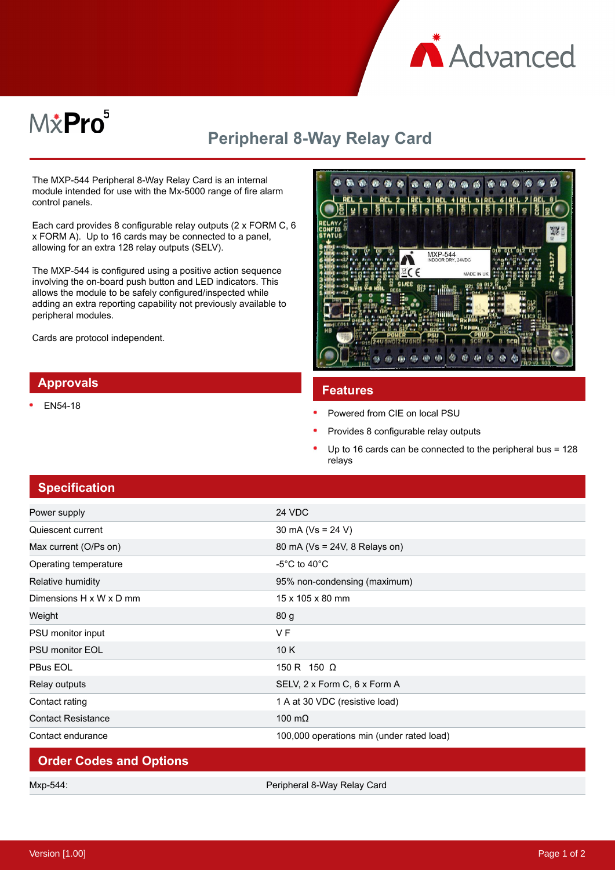

# M&Pro<sup>5</sup>

## **Peripheral 8-Way Relay Card**

The MXP-544 Peripheral 8-Way Relay Card is an internal module intended for use with the Mx-5000 range of fire alarm control panels.

Each card provides 8 configurable relay outputs (2 x FORM C, 6 x FORM A). Up to 16 cards may be connected to a panel, allowing for an extra 128 relay outputs (SELV).

The MXP-544 is configured using a positive action sequence involving the on-board push button and LED indicators. This allows the module to be safely configured/inspected while adding an extra reporting capability not previously available to peripheral modules.

Cards are protocol independent.

### **Approvals**

EN54-18



#### **Features**

- Powered from CIE on local PSU
- Provides 8 configurable relay outputs
- Up to 16 cards can be connected to the peripheral bus = 128 relays

| <b>Specification</b>           |                                           |
|--------------------------------|-------------------------------------------|
| Power supply                   | 24 VDC                                    |
| Quiescent current              | 30 mA ( $Vs = 24 V$ )                     |
| Max current (O/Ps on)          | 80 mA (Vs = 24V, 8 Relays on)             |
| Operating temperature          | -5°C to 40°C                              |
| Relative humidity              | 95% non-condensing (maximum)              |
| Dimensions H x W x D mm        | 15 x 105 x 80 mm                          |
| Weight                         | 80 g                                      |
| PSU monitor input              | V <sub>F</sub>                            |
| <b>PSU monitor EOL</b>         | 10K                                       |
| PBus EOL                       | 150 R 150 Ω                               |
| Relay outputs                  | SELV, 2 x Form C, 6 x Form A              |
| Contact rating                 | 1 A at 30 VDC (resistive load)            |
| <b>Contact Resistance</b>      | 100 $m\Omega$                             |
| Contact endurance              | 100,000 operations min (under rated load) |
| <b>Order Codes and Options</b> |                                           |

Mxp-544: Peripheral 8-Way Relay Card